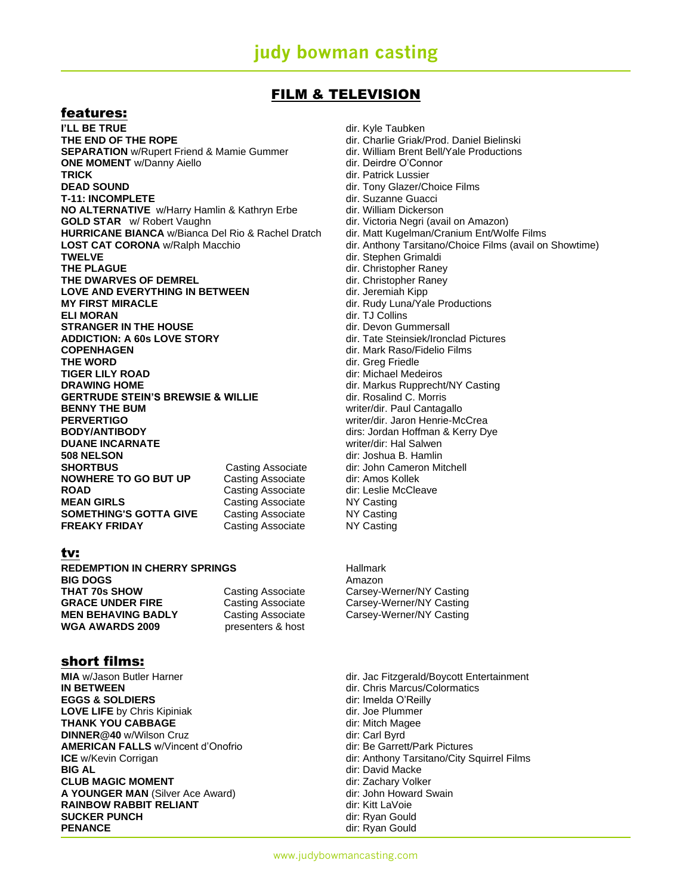### FILM & TELEVISION

### features:

**I'LL BE TRUE** dir. Kyle Taubken **THE END OF THE ROPE dir.** Charlie Griak/Prod. Daniel Bielinski **SEPARATION** w/Rupert Friend & Mamie Gummer dir. William Brent Bell/Yale Productions **ONE MOMENT** w/Danny Aiello **Direction and Algebra and Algebra and Algebra and Algebra and Algebra and Algebra and Algebra and Algebra and Algebra and Algebra and Algebra and Algebra and Algebra and Algebra and Algebra and TRICK** dir. Patrick Lussier **DEAD SOUND DEAD SOUND dir.** Tony Glazer/Choice Films **T-11: INCOMPLETE** dir. Suzanne Guacci **NO ALTERNATIVE** w/Harry Hamlin & Kathryn Erbe dir. William Dickerson **GOLD STAR** *w/* Robert Vaughn dir. Victoria Negri (avail on Amazon) **HURRICANE BIANCA** w/Bianca Del Rio & Rachel Dratch dir. Matt Kugelman/Cranium Ent/Wolfe Films **LOST CAT CORONA** w/Ralph Macchio dir. Anthony Tarsitano/Choice Films (avail on Showtime) **TWELVE** dir. Stephen Grimaldi **THE DWARVES OF DEMREL Example 20 and STATE CHARGIST CONTROL** dir. Christopher Raney **LOVE AND EVERYTHING IN BETWEEN** dir. Jeremiah Kipp **MY FIRST MIRACLE MIRACLE dir.** Rudy Luna/Yale Productions **ELI MORAN<br>
STRANGER IN THE HOUSE** The State of the Collins of the Collins of the STRANGER IN THE HOUSE **STRANGER IN THE HOUSE ADDICTION: A 60s LOVE STORY** dir. Tate Steinsiek/Ironclad Pictures<br> **COPENHAGEN** dir. Mark Raso/Fidelio Films **COPENHAGEN**<br>
THE WORD **Direct Contract Contract Contract Contract Contract Contract Contract Contract Contract Contract Contract Contract Contract Contract Contract Contract Contract Contract Contract Contract Contract Co THE WORD<br>
TIGER LILY ROAD** GILY COMPUTE TIGER LILY ROAD **TIGER LILY ROAD dir:** Michael Medeiros<br> **DRAWING HOME dir**: Markus Rupprech **GERTRUDE STEIN'S BREWSIE & WILLIE** dir. Rosalind C. Morris **BENNY THE BUM EXAMPLE 2008 THE BUM** Writer/dir. Paul Cantagallo **PERVERTIGO** writer/dir. Jaron Henrie-McCrea **BODY/ANTIBODY dirs: Jordan Hoffman & Kerry Dye DUANE INCARNATE** writer/dir: Hal Salwen **508 NELSON** dir: Joshua B. Hamlin **SHORTBUS** Casting Associate dir: John Cameron Mitchell **NOWHERE TO GO BUT UP** Casting Associate dir: Amos Kollek **ROAD Casting Associate** dir: Leslie McCleave **MEAN GIRLS Casting Associate** NY Casting **SOMETHING'S GOTTA GIVE** Casting Associate NY Casting **FREAKY FRIDAY** Casting Associate NY Casting

tv:

**REDEMPTION IN CHERRY SPRINGS** Hallmark **BIG DOGS** Amazon<br> **THAT 70s SHOW** Casting Associate Carsey-V **GRACE UNDER FIRE** Casting Associate Carsey-Werner/NY Casting<br> **MEN BEHAVING BADLY** Casting Associate Carsey-Werner/NY Casting **WGA AWARDS 2009** presenters & host

short films:

**IN BETWEEN** dir. Chris Marcus/Colormatics **EGGS & SOLDIERS** dir: Imelda O'Reilly **LOVE LIFE** by Chris Kipiniak dir. Joe Plummer **THANK YOU CABBAGE dir:** Mitch Magee **DINNER@40** w/Wilson Cruz **dir:** Carl Byrd **AMERICAN FALLS** w/Vincent d'Onofrio dir: Be Garrett/Park Pictures **CLUB MAGIC MOMENT Direct Structure 2015** dir: Zachary Volker **A YOUNGER MAN** (Silver Ace Award) dir: John Howard Swain **RAINBOW RABBIT RELIANT EXAMPLE 2008** dir: Kitt LaVoie **SUCKER PUNCH Direct Contract Contract Contract Contract Contract Contract Contract Contract Contract Contract Contract Contract Contract Contract Contract Contract Contract Contract Contract Contract Contract Contract C PENANCE** dir: Ryan Gould

dir. Christopher Raney dir. Markus Rupprecht/NY Casting

Casting Associate **Carsey-Werner/NY Casting** Casting Associate **Carsey-Werner/NY Casting** 

**MIA** w/Jason Butler Harner direction of the direction of the direction of the direction of the direction of the direction of the direction of the direction of the direction of the direction of the direction of the directi **ICE** w/Kevin Corrigan **and City Squirrel Films** dir: Anthony Tarsitano/City Squirrel Films<br> **BIG AL BIG AL** dir: David Macke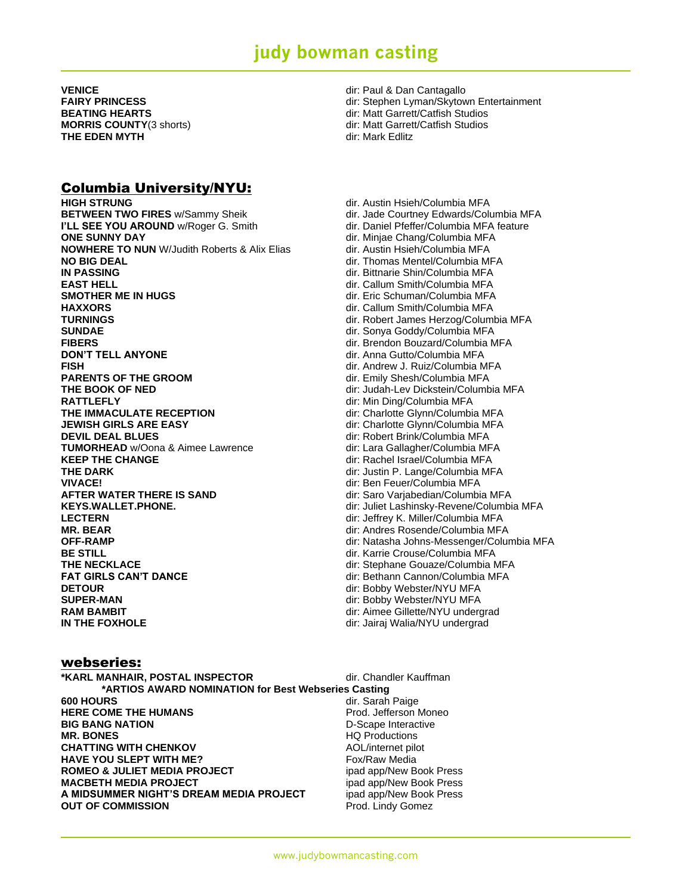**VENICE** dir: Paul & Dan Cantagallo **THE EDEN MYTH diric in the state of the state of the state of the diric diric diric diric diric diric diric diric diric diric diric diric diric diric diric diric diric diric diric diric diric diric diric diric diric dir** 

### Columbia University/NYU:

**HIGH STRUNG dir.** Austin Hsieh/Columbia MFA **BETWEEN TWO FIRES** w/Sammy Sheik dir. Jade Courtney Edwards/Columbia MFA **I'LL SEE YOU AROUND** w/Roger G. Smith dir. Daniel Pfeffer/Columbia MFA feature **ONE SUNNY DAY DIREGONAL DIREGONAL DIREGONAL DIREGONAL DIREGONAL DIREGONAL DIREGONAL DIREGONAL DIREGONAL DIREGONAL DIREGONAL DIREGONAL DIREGONAL DIREGONAL DIREGONAL DIREGONAL DIREGONAL DIREGONAL DIREGONAL DIREGONAL DIREG NOWHERE TO NUN** W/Judith Roberts & Alix Elias dir. Austin Hsieh/Columbia MFA **NO BIG DEAL dir.** Thomas Mentel/Columbia MFA<br> **IN PASSING** dir. Bittnarie Shin/Columbia MFA **EAST HELL** dir. Callum Smith/Columbia MFA **SMOTHER ME IN HUGS** dir. Eric Schuman/Columbia MFA **HAXXORS** dir. Callum Smith/Columbia MFA **TURNINGS dir.** Robert James Herzog/Columbia MFA **SUNDAE** dir. Sonya Goddy/Columbia MFA **FIBERS** dir. Brendon Bouzard/Columbia MFA **DON'T TELL ANYONE DON'T TELL ANYONE dir.** Anna Gutto/Columbia MFA **FISH** dir. Andrew J. Ruiz/Columbia MFA **PARENTS OF THE GROOM dir.** Emily Shesh/Columbia MFA<br> **THE BOOK OF NED dir:** Judah-Lev Dickstein/Columbia MFA **RATTLEFLY** dir: Min Ding/Columbia MFA **THE IMMACULATE RECEPTION** dir: Charlotte Glynn/Columbia MFA **JEWISH GIRLS ARE EASY dir:** Charlotte Glynn/Columbia MFA **DEVIL DEAL BLUES**<br> **TUMORHEAD** w/Oona & Aimee Lawrence **dir:** Lara Gallagher/Columbia MFA **TUMORHEAD** w/Oona & Aimee Lawrence **KEEP THE CHANGE Example 20 Interval 20 Interval 20 Interval 20 Interval 20 Interval 20 Interval 20 Interval 20 Interval 20 Interval 20 Interval 20 Interval 20 Interval 20 Interval 20 Interval 20 Interval 20 Interval 20 THE DARK dir:** Justin P. Lange/Columbia MFA **VIVACE!** dir: Ben Feuer/Columbia MFA **AFTER WATER THERE IS SAND dir:** Saro Varjabedian/Columbia MFA **KEYS.WALLET.PHONE. dir:** Juliet Lashinsky-Revene/Columbia MFA **LECTERN** dir: Jeffrey K. Miller/Columbia MFA **MR. BEAR** dir: Andres Rosende/Columbia MFA **OFF-RAMP Direct Columbia MFA** dir: Natasha Johns-Messenger/Columbia MFA **BE STILL BE STILL BE STILL BE STILL DIRECTIONS DIRECTIONS dir.** Karrie Crouse/Columbia MFA **THE NECKLACE** dir: Stephane Gouaze/Columbia MFA<br> **FAT GIRLS CAN'T DANCE** dir: Bethann Cannon/Columbia MFA **DETOUR** dir: Bobby Webster/NYU MFA **SUPER-MAN** dir: Bobby Webster/NYU MFA **RAM BAMBIT RAM BAMBIT EXECUTE:** Almost property dir: Aimee Gillette/NYU undergrad **IN THE FOXHOLE** dir: Jairaj Walia/NYU undergrad

# webseries:

**\*ARTIOS AWARD NOMINATION for Best Webseries Casting 600 HOURS** dir. Sarah Paige **HERE COME THE HUMANS Prod. Jefferson Moneously BIG BANG NATION** D-Scape Interactive **MR. BONES HQ Productions CHATTING WITH CHENKOV AOL/internet pilot HAVE YOU SLEPT WITH ME?** Fox/Raw Media **ROMEO & JULIET MEDIA PROJECT** ipad app/New Book Press **MACBETH MEDIA PROJECT** induction of the state of the state app/New Book Press **A MIDSUMMER NIGHT'S DREAM MEDIA PROJECT** ipad app/New Book Press **OUT OF COMMISSION Prod. Lindy Gomez** 

**FAIRY PRINCESS dir:** Stephen Lyman/Skytown Entertainment **BEATING HEARTS Direction Control of the Studios** dir: Matt Garrett/Catfish Studios **MORRIS COUNTY**(3 shorts) **and Struth Automobility Countries and Struth Automobility Countries and MC** dir: Matt Garrett/Catfish Studios

> **IN PASSING** dir. Bittnarie Shin/Columbia MFA dir: Judah-Lev Dickstein/Columbia MFA dir: Bethann Cannon/Columbia MFA

**\*KARL MANHAIR, POSTAL INSPECTOR** dir. Chandler Kauffman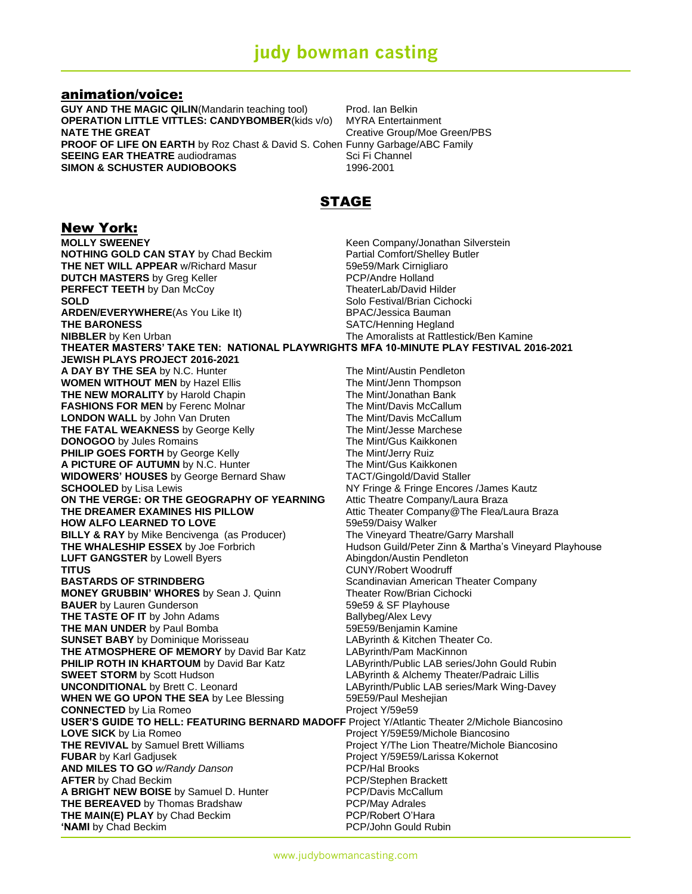### animation/voice:

**GUY AND THE MAGIC QILIN**(Mandarin teaching tool) Prod. Ian Belkin **OPERATION LITTLE VITTLES: CANDYBOMBER(kids v/o) MYRA Entertainment NATE THE GREAT** Creative Group/Moe Green/PBS **PROOF OF LIFE ON EARTH** by Roz Chast & David S. Cohen Funny Garbage/ABC Family<br>**SEEING EAR THEATRE** audiodramas **SEEING EAR** THEATRE audiodramas **SEEING EAR THEATRE** audiodramas Sci Fi Channel **SIMON & SCHUSTER AUDIOBOOKS** 

## STAGE

### New York:

**MOLLY SWEENEY**<br> **NOTHING GOLD CAN STAY** by Chad Beckim<br> **Ratial Comfort/Shelley Butler**<br> **Ratial Comfort/Shelley Butler NOTHING GOLD CAN STAY** by Chad Beckim<br>
THE NET WILL APPEAR w/Richard Masur **Example 18 S9859/Mark Cirnigliaro THE NET WILL APPEAR w/Richard Masur DUTCH MASTERS** by Greg Keller **PCP/Andre Holland PERFECT TEETH** by Dan McCoy **TheaterLab/David Hilder SOLD** SOLD SOLD **SOLD ARDEN/EVERYWHERE**(As You Like It) BPAC/Jessica Bauman **THE BARONESS** SATC/Henning Hegland **NIBBLER** by Ken Urban The Amoralists at Rattlestick/Ben Kamine **THEATER MASTERS' TAKE TEN: NATIONAL PLAYWRIGHTS MFA 10-MINUTE PLAY FESTIVAL 2016-2021 JEWISH PLAYS PROJECT 2016-2021 A DAY BY THE SEA** by N.C. Hunter The Mint/Austin Pendleton<br> **WOMEN WITHOUT MEN** by Hazel Ellis The Mint/Jenn Thompson **WOMEN WITHOUT MEN by Hazel Ellis THE NEW MORALITY** by Harold Chapin The Mint/Jonathan Bank **FASHIONS FOR MEN** by Ferenc Molnar The Mint/Davis McCallum **LONDON WALL** by John Van Druten **The Mint/Davis McCallum**<br>
THE FATAL WEAKNESS by George Kelly The Mint/Jesse Marchese **THE FATAL WEAKNESS** by George Kelly The Mint/Jesse Marchese<br> **DONOGOO** by Jules Romains The Mint/Gus Kaikkonen **DONOGOO** by Jules Romains **PHILIP GOES FORTH** by George Kelly The Mint/Jerry Ruiz **A PICTURE OF AUTUMN** by N.C. Hunter The Mint/Gus Kaikkonen **WIDOWERS' HOUSES** by George Bernard Shaw TACT/Gingold/David Staller **SCHOOLED** by Lisa Lewis **NY Fringe & Fringe Encores** /James Kautz **ON THE VERGE: OR THE GEOGRAPHY OF YEARNING** Attic Theatre Company/Laura Braza **THE DREAMER EXAMINES HIS PILLOW Attic Theater Company@The Flea/Laura Braza HOW ALFO LEARNED TO LOVE** 59e59/Daisy Walker **BILLY & RAY** by Mike Bencivenga (as Producer) The Vineyard Theatre/Garry Marshall<br>
THE WHALESHIP ESSEX by Joe Forbrich THE WHALESHIP BESSEX by Joe Forbrich Hudson Guild/Peter Zinn & Martha's Vineyard Playhouse<br>Abingdon/Austin Pendleton **LUFT GANGSTER** by Lowell Byers **TITUS** CUNY/Robert Woodruff **BASTARDS OF STRINDBERG** SCandinavian American Theater Company **MONEY GRUBBIN' WHORES** by Sean J. Quinn Theater Row/Brian Cichocki **BAUER** by Lauren Gunderson **1992 1993 59e59 & SF Playhouse THE TASTE OF IT** by John Adams **Ballybeg/Alex Levy THE MAN UNDER** by Paul Bomba 59E59/Benjamin Kamine **SUNSET BABY** by Dominique Morisseau **LAByrinth & Kitchen Theater Co. THE ATMOSPHERE OF MEMORY** by David Bar Katz LAByrinth/Pam MacKinnon **PHILIP ROTH IN KHARTOUM** by David Bar Katz LAByrinth/Public LAB series/John Gould Rubin **SWEET STORM** by Scott Hudson **LAByrinth & Alchemy Theater/Padraic Lillis UNCONDITIONAL** by Brett C. Leonard **LAByrinth/Public LAB series/Mark Wing-Davey WHEN WE GO UPON THE SEA** by Lee Blessing 59E59/Paul Meshejian **CONNECTED** by Lia Romeo Project Y/59e59 **USER'S GUIDE TO HELL: FEATURING BERNARD MADOFF** Project Y/Atlantic Theater 2/Michole Biancosino **LOVE SICK** by Lia Romeo **Project Y/59E59/Michole Biancosino THE REVIVAL** by Samuel Brett Williams **Project Y/The Lion Theatre/Michole Biancosino FUBAR** by Karl Gadjusek **Project Y/59E59/Larissa Kokernot AND MILES TO GO** *w/Randy Danson* PCP/Hal Brooks **AFTER** by Chad Beckim **PCP/Stephen Brackett A BRIGHT NEW BOISE** by Samuel D. Hunter PCP/Davis McCallum **THE BEREAVED** by Thomas Bradshaw **PCP/May Adrales THE MAIN(E) PLAY** by Chad Beckim **PCP/Robert O'Hara**<br> **EXAMI** by Chad Beckim **PCP/John Gould Rubin 'NAMI** by Chad Beckim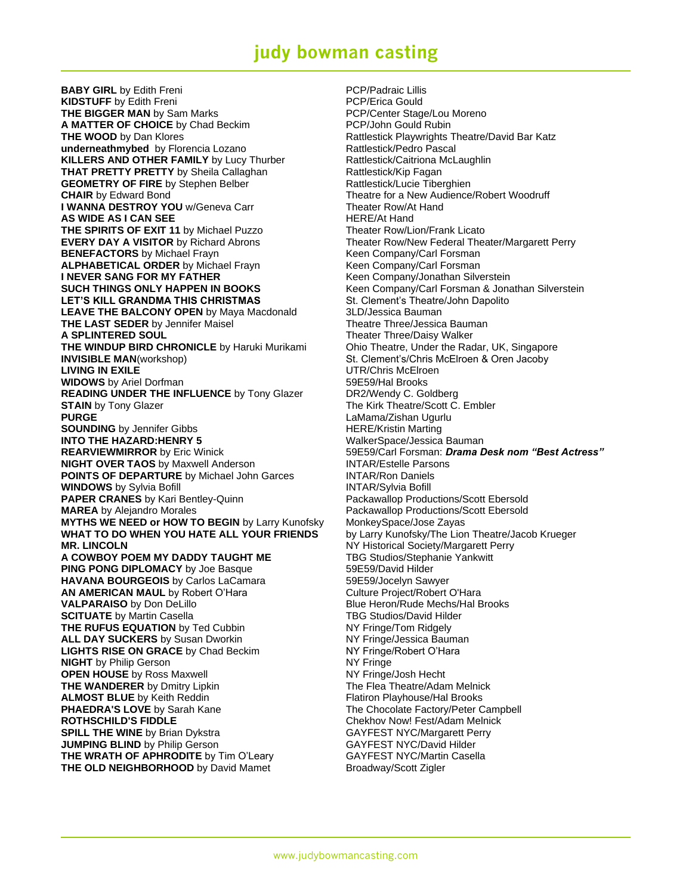# **judy bowman casting**

**BABY GIRL** by Edith Freni **PCP/Padraic Lillis KIDSTUFF** by Edith Freni **Example 2018** PCP/Erica Gould **THE BIGGER MAN** by Sam Marks **No. 2018 PCP/Center Stage/Lou Moreno A MATTER OF CHOICE** by Chad Beckim PCP/John Gould Rubin **THE WOOD** by Dan Klores **Rattlestick Playwrights Theatre/David Bar Katz underneathmybed** by Florencia Lozano **Rattlestick/Pedro Pascal KILLERS AND OTHER FAMILY** by Lucy Thurber Rattlestick/Caitriona McLaughlin **THAT PRETTY PRETTY** by Sheila Callaghan **Rattlestick/Kip Fagan** Retorian CEOMETRY OF FIRE by Stephen Belber **Rattlestick/Lucie Tiberghien GEOMETRY OF FIRE** by Stephen Belber **CHAIR** by Edward Bond **Theatre for a New Audience/Robert Woodruff I WANNA DESTROY YOU** w/Geneva Carr Theater Row/At Hand **AS WIDE AS I CAN SEE HERE/At Hand THE SPIRITS OF EXIT 11** by Michael Puzzo **Theater Row/Lion/Frank Licato EVERY DAY A VISITOR** by Richard Abrons Theater Row/New Federal Theater/Margarett Perry **BENEFACTORS** by Michael Frayn **Keen Company/Carl Forsman ALPHABETICAL ORDER** by Michael Frayn Keen Company/Carl Forsman **I NEVER SANG FOR MY FATHER** Keen Company/Jonathan Silverstein **SUCH THINGS ONLY HAPPEN IN BOOKS** Keen Company/Carl Forsman & Jonathan Silverstein **LET'S KILL GRANDMA THIS CHRISTMAS** St. Clement's Theatre/John Dapolito **LEAVE THE BALCONY OPEN** by Maya Macdonald 3LD/Jessica Bauman **THE LAST SEDER** by Jennifer Maisel Theatre Theatre Three/Jessica Bauman<br> **A SPLINTERED SOUL** Theater Three/Daisy Walker **THE WINDUP BIRD CHRONICLE** by Haruki Murikami Ohio Theatre, Under the Radar, UK, Singapore **INVISIBLE MAN**(workshop) St. Clement's/Chris McElroen & Oren Jacoby **LIVING IN EXILE LIVING IN EXILE UTR/Chris McElroen WIDOWS** by Ariel Dorfman 59E59/Hal Brooks<br> **READING UNDER THE INFLUENCE** by Tony Glazer DR2/Wendy C. Goldberg **READING UNDER THE INFLUENCE** by Tony Glazer **STAIN** by Tony Glazer The Kirk Theatre/Scott C. Embler **PURGE LaMama/Zishan Ugurlu SOUNDING** by Jennifer Gibbs **HERE/Kristin Marting INTO THE HAZARD:HENRY 5** WalkerSpace/Jessica Bauman<br> **REARVIEWMIRROR** by Eric Winick S9E59/Carl Forsman: *Drama D* **NIGHT OVER TAOS** by Maxwell Anderson **INTAR/Estelle Parsons POINTS OF DEPARTURE** by Michael John Garces **INTAR/Ron Daniels WINDOWS** by Sylvia Bofill **INTAR/Sylvia Bofill PAPER CRANES** by Kari Bentley-Quinn **Packawallop Productions/Scott Ebersold**<br> **MAREA** by Alejandro Morales **Packawallop Productions/Scott Ebersold MYTHS WE NEED or HOW TO BEGIN** by Larry Kunofsky MonkeySpace/Jose Zayas **WHAT TO DO WHEN YOU HATE ALL YOUR FRIENDS** by Larry Kunofsky/The Lion Theatre/Jacob Krueger **MR. LINCOLN**<br> **A COWBOY POEM MY DADDY TAUGHT ME** TBG Studios/Stephanie Yankwitt **A COWBOY POEM MY DADDY TAUGHT ME PING PONG DIPLOMACY** by Joe Basque 59E59/David Hilder **HAVANA BOURGEOIS** by Carlos LaCamara 59E59/Jocelyn Sawyer **AN AMERICAN MAUL** by Robert O'Hara **Culture Project/Robert O'Hara VALPARAISO** by Don DeLillo **Blue Heron/Rude Mechs/Hal Brooks SCITUATE** by Martin Casella **TBG Studios/David Hilder THE RUFUS EQUATION** by Ted Cubbin NY Fringe/Tom Ridgely **ALL DAY SUCKERS** by Susan Dworkin NY Fringe/Jessica Bauman **LIGHTS RISE ON GRACE** by Chad Beckim NY Fringe/Robert O'Hara **NIGHT** by Philip Gerson NY Fringe **OPEN HOUSE** by Ross Maxwell **NAMES NAMES NAMES NAMES NAMES NAMES NAMES N THE WANDERER** by Dmitry Lipkin The Flea Theatre/Adam Melnick **ALMOST BLUE** by Keith Reddin **Flatiron Playhouse/Hal Brooks PHAEDRA'S LOVE** by Sarah Kane The Chocolate Factory/Peter Campbell **ROTHSCHILD'S FIDDLE Chekhov Now! Fest/Adam Melnick SPILL THE WINE** by Brian Dykstra GAYFEST NYC/Margarett Perry **JUMPING BLIND** by Philip Gerson GAYFEST NYC/David Hilder **THE WRATH OF APHRODITE** by Tim O'Leary **GAYFEST NYC/Martin Casella THE OLD NEIGHBORHOOD** by David Mamet Broadway/Scott Zigler

**Theater Three/Daisy Walker** 59E59/Carl Forsman: *Drama Desk nom "Best Actress"* Packawallop Productions/Scott Ebersold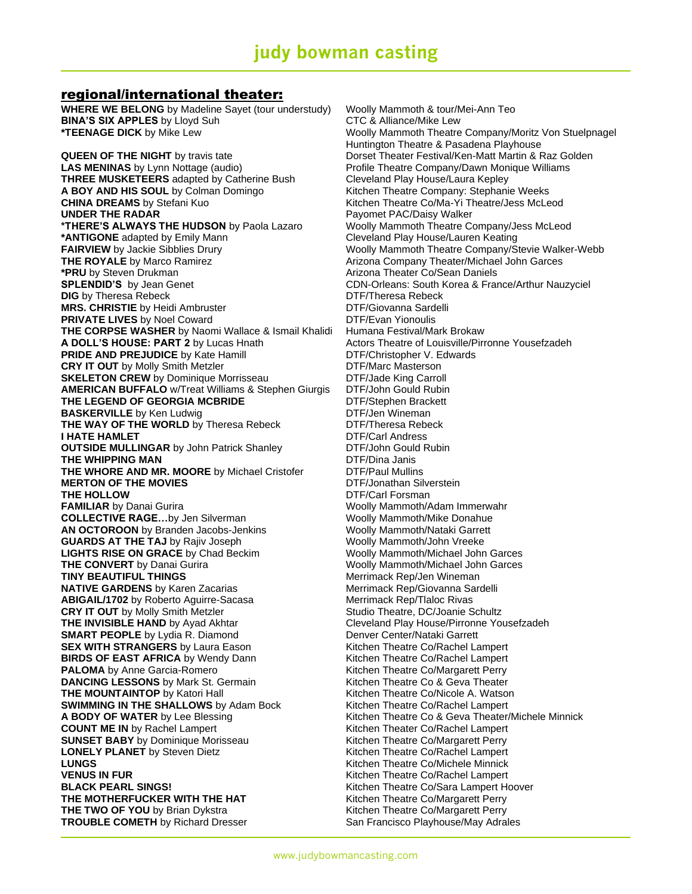### regional/international theater:

**WHERE WE BELONG** by Madeline Sayet (tour understudy) Woolly Mammoth & tour/Mei-Ann Teo **BINA'S SIX APPLES** by Lloyd Suh CTC & Alliance/Mike Lew **\*TEENAGE DICK** by Mike Lew Woolly Mammoth Theatre Company/Moritz Von Stuelpnagel

**LAS MENINAS** by Lynn Nottage (audio) **Profile Theatre Company/Dawn Monique Williams**<br> **THREE MUSKETEERS** adapted by Catherine Bush Cleveland Play House/Laura Kepley **THREE MUSKETEERS** adapted by Catherine Bush **A BOY AND HIS SOUL** by Colman Domingo Kitchen Theatre Company: Stephanie Weeks **CHINA DREAMS** by Stefani Kuo **Kitchen Theatre Co/Ma-Yi Theatre/Jess McLeod UNDER THE RADAR Payomet PAC/Daisy Walker \*THERE'S ALWAYS THE HUDSON** by Paola Lazaro Woolly Mammoth Theatre Company/Jess McLeod **\*ANTIGONE** adapted by Emily Mann Cleveland Play House/Lauren Keating **THE ROYALE** by Marco Ramirez **Arizona Company Theater/Michael John Garces**<br> **\*PRU** by Steven Drukman<br>
Arizona Theater Co/Sean Daniels **SPLENDID'S** by Jean Genet **CDN-Orleans: South Korea & France/Arthur Nauzyciel DIG** by Theresa Rebeck **DTF/Theresa Rebeck MRS. CHRISTIE** by Heidi Ambruster **DTE/Giovanna Sardelli PRIVATE LIVES** by Noel Coward **DTF/Evan Yionoulis**<br> **THE CORPSE WASHER** by Naomi Wallace & Ismail Khalidi Humana Festival/Mark Brokaw **THE CORPSE WASHER** by Naomi Wallace & Ismail Khalidi **A DOLL'S HOUSE: PART 2** by Lucas Hnath Actors Theatre of Louisville/Pirronne Yousefzadeh **PRIDE AND PREJUDICE** by Kate Hamill DTF/Christopher V. Edwards **CRY IT OUT** by Molly Smith Metzler **DTF/Marc Masterson SKELETON CREW** by Dominique Morrisseau **DTF/Jade King Carroll**<br>**AMERICAN BUFFALO** w/Treat Williams & Stephen Giurgis DTF/John Gould Rubin **AMERICAN BUFFALO** w/Treat Williams & Stephen Giurgis **THE LEGEND OF GEORGIA MCBRIDE** DTF/Stephen Brackett **BASKERVILLE** by Ken Ludwig **DTF/Jen Wineman THE WAY OF THE WORLD** by Theresa Rebeck DTF/Theresa Rebeck **I HATE HAMLET**<br> **OUTSIDE MULLINGAR** by John Patrick Shanley **DIF/DIF/John Gould Rubin OUTSIDE MULLINGAR** by John Patrick Shanley **THE WHIPPING MAN**<br> **THE WHORE AND MR. MOORE** by Michael Cristofer DTF/Paul Mullins **THE WHORE AND MR. MOORE** by Michael Cristofer **DTF/Paul Mullins**<br> **MERTON OF THE MOVIES DTF/Jonathan Silverstein MERTON OF THE MOVIES THE HOLLOW DTF/Carl Forsman FAMILIAR** by Danai Gurira **Machina Machina Machina Woolly Mammoth/Adam Immerwahr COLLECTIVE RAGE...**by Jen Silverman Woolly Mammoth/Mike Donahue **AN OCTOROON** by Branden Jacobs-Jenkins Woolly Mammoth/Nataki Garrett **GUARDS AT THE TAJ** by Rajiv Joseph Woolly Mammoth/John Vreeke **LIGHTS RISE ON GRACE** by Chad Beckim Woolly Mammoth/Michael John Garces **THE CONVERT** by Danai Gurira **WASHAM MICHAEL METAL WOOII** Mammoth/Michael John Garces **TINY BEAUTIFUL THINGS** Merrimack Rep/Jen Wineman **NATIVE GARDENS** by Karen Zacarias Merrimack Rep/Giovanna Sardelli ABIGAIL/1702 by Roberto Aguirre-Sacasa Merrimack Rep/Tlaloc Rivas **CRY IT OUT** by Molly Smith Metzler Studio Theatre, DC/Joanie Schultz **THE INVISIBLE HAND** by Ayad Akhtar **Cleveland Play House/Pirronne Yousefzadeh SMART PEOPLE** by Lydia R. Diamond Denver Center/Nataki Garrett **SEX WITH STRANGERS** by Laura Eason **Kitchen Theatre Co/Rachel Lampert BIRDS OF EAST AFRICA** by Wendy Dann Kitchen Theatre Co/Rachel Lampert **PALOMA** by Anne Garcia-Romero **Kitchen Theatre Co/Margarett Perry DANCING LESSONS** by Mark St. Germain **Kitchen Theatre Co & Geva Theater THE MOUNTAINTOP** by Katori Hall **Exercise 20** Kitchen Theatre Co/Nicole A. Watson **SWIMMING IN THE SHALLOWS** by Adam Bock Kitchen Theatre Co/Rachel Lampert **A BODY OF WATER** by Lee Blessing Kitchen Theatre Co & Geva Theater/Michele Minnick **COUNT ME IN** by Rachel Lampert Kitchen Theater Co/Rachel Lampert **SUNSET BABY** by Dominique Morisseau Kitchen Theatre Co/Margarett Perry **LONELY PLANET** by Steven Dietz **Kitchen Theatre Co/Rachel Lampert** Kitchen Theatre Co/Rachel Lampert **LUNGS**<br> **VENUS IN FUR**<br> **VENUS IN FUR**<br> **Kitchen Theatre Co/Rachel Lampert BLACK PEARL SINGS!** Notice that the Milliam School Community Richard Milliam School Community Richard Milliam School Community Richard Milliam School Community Richard Milliam School Community Richard Milliam School Commu **THE MOTHERFUCKER WITH THE HAT** Kitchen Theatre Co/Margarett Perry **THE TWO OF YOU** by Brian Dykstra **Kitchen Theatre Co/Margarett Perry** Kitchen Theatre Co/Margarett Perry **TROUBLE COMETH** by Richard Dresser San Francisco Playhouse/May Adrales

Huntington Theatre & Pasadena Playhouse **QUEEN OF THE NIGHT** by travis tate **Dorset Theater Festival/Ken-Matt Martin & Raz Golden FAIRVIEW** by Jackie Sibblies Drury Woolly Mammoth Theatre Company/Stevie Walker-Webb Arizona Theater Co/Sean Daniels Kitchen Theatre Co/Rachel Lampert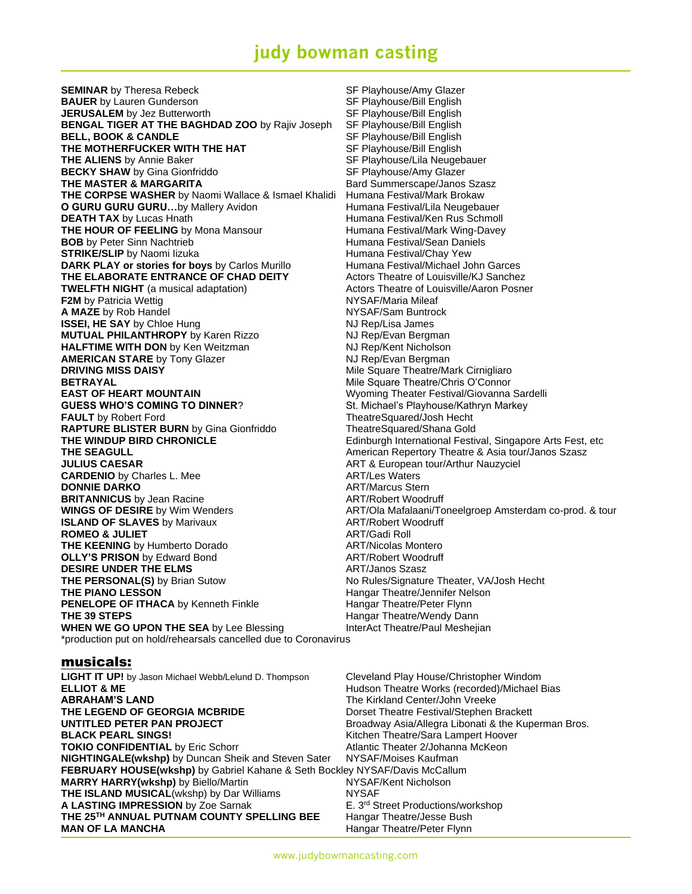# **judy bowman casting**

**SEMINAR** by Theresa Rebeck SF Playhouse/Amy Glazer **BAUER** by Lauren Gunderson SE Playhouse/Bill English **JERUSALEM** by Jez Butterworth SF Playhouse/Bill English **BENGAL TIGER AT THE BAGHDAD ZOO** by Rajiv Joseph SF Playhouse/Bill English **BELL, BOOK & CANDLE** SF Playhouse/Bill English **THE MOTHERFUCKER WITH THE HAT** SF Playhouse/Bill English **THE ALIENS** by Annie Baker ST Playhouse/Lila Neugebauer **BECKY SHAW** by Gina Gionfriddo SF Playhouse/Amy Glazer **THE MASTER & MARGARITA** Bard Summerscape/Janos Szasz **THE CORPSE WASHER** by Naomi Wallace & Ismael Khalidi Humana Festival/Mark Brokaw **O GURU GURU GURU...**by Mallery Avidon **Humana Festival/Lila Neugebauer DEATH TAX** by Lucas Hnath **Humana Festival/Ken Rus Schmoll THE HOUR OF FEELING** by Mona Mansour **Humana Festival/Mark Wing-Davey BOB** by Peter Sinn Nachtrieb **Humana Festival/Sean Daniels STRIKE/SLIP** by Naomi lizuka<br> **DARK PLAY or stories for bovs** by Carlos Murillo Humana Festival/Michael John Garces **DARK PLAY or stories for boys** by Carlos Murillo **THE ELABORATE ENTRANCE OF CHAD DEITY** Actors Theatre of Louisville/KJ Sanchez **TWELFTH NIGHT** (a musical adaptation) Actors Theatre of Louisville/Aaron Posner **F2M** by Patricia Wettig NYSAF/Maria Mileaf **A MAZE** by Rob Handel **NAME A** MYSAF/Sam Buntrock **ISSEI, HE SAY** by Chloe Hung NJ Rep/Lisa James **MUTUAL PHILANTHROPY** by Karen Rizzo **HALFTIME WITH DON** by Ken Weitzman **NJ Rep/Kent Nicholson**<br> **AMERICAN STARE** by Tony Glazer **NJ Rep/Evan Bergman AMERICAN STARE** by Tony Glazer **DRIVING MISS DAISY Mile Square Theatre/Mark Cirnigliaro DRIVING MISS DAISY Mile Square Theatre/Mark Cirnigliaro BETRAYAL MILE SQUARE THEATRAYAL MILE SQUARE THEATRAYAL MILE SQUARE THEATRAYAL MILE SQUARE THEATRAYAL MILE SQUARE ESSIVAL OF HEATRAYAL MILE SQUARE ESSIVAL OF HEATRAYAL MILE SQUARE ESSIVAL OF HEATRAYAL MILE SQUARE ESSIVAL O GUESS WHO'S COMING TO DINNER?** St. Michael's Playhouse/Kathryn Markey **FAULT** by Robert Ford TheatreSquared/Josh Hecht **RAPTURE BLISTER BURN** by Gina Gionfriddo TheatreSquared/Shana Gold **THE WINDUP BIRD CHRONICLE** Edinburgh International Festival, Singapore Arts Fest, etc **THE SEAGULL American Repertory Theatre & Asia tour/Janos Szasz** American Repertory Theatre & Asia tour/Janos Szasz **JULIUS CAESAR** ART & European tour/Arthur Nauzyciel **CARDENIO** by Charles L. Mee **ART/Les Waters DONNIE DARKO** ART/Marcus Stern **BRITANNICUS** by Jean Racine **ART/Robert Woodruff WINGS OF DESIRE** by Wim Wenders **ART/Ola Mafalaani/Toneelgroep Amsterdam co-prod. & tour** ART/Ola Mafalaani/Toneelgroep Amsterdam co-prod. & tour **ISLAND OF SLAVES** by Marivaux **ART/Robert Woodruff ROMEO & JULIET** ART/Gadi Roll **THE KEENING** by Humberto Dorado **ART/Nicolas Montero OLLY'S PRISON** by Edward Bond **ART/Robert Woodruff DESIRE UNDER THE ELMS** ART/Janos Szasz **THE PERSONAL(S)** by Brian Sutow No Rules/Signature Theater, VA/Josh Hecht **THE PIANO LESSON Hangar Theatre/Jennifer Nelson PENELOPE OF ITHACA** by Kenneth Finkle Hangar Theatre/Peter Flynn **THE 39 STEPS Hangar Theatre/Wendy Dann WHEN WE GO UPON THE SEA** by Lee Blessing **InterAct Theatre/Paul Meshejian** \*production put on hold/rehearsals cancelled due to Coronavirus

# **Wyoming Theater Festival/Giovanna Sardelli**

### musicals:

**LIGHT IT UP!** by Jason Michael Webb/Lelund D. Thompson Cleveland Play House/Christopher Windom **ELLIOT & ME ELLIOT & ME ELLIOT & ME Hudson Theatre Works (recorded)/Michael Bias ABRAHAM'S LAND** The Kirkland Center/John Vreeke **THE LEGEND OF GEORGIA MCBRIDE** Dorset Theatre Festival/Stephen Brackett **UNTITLED PETER PAN PROJECT** Broadway Asia/Allegra Libonati & the Kuperman Bros. **BLACK PEARL SINGS!** Notice that the Microsoft City of Microsoft City African Microsoft City African Microsoft City **TOKIO CONFIDENTIAL** by Eric Schorr **Atlantic Theater 2/Johanna McKeon NIGHTINGALE(wkshp)** by Duncan Sheik and Steven Sater NYSAF/Moises Kaufman **FEBRUARY HOUSE(wkshp)** by Gabriel Kahane & Seth Bockley NYSAF/Davis McCallum **MARRY HARRY(wkshp)** by Biello/Martin **THE ISLAND MUSICAL**(wkshp) by Dar Williams NYSAF **A LASTING IMPRESSION** by Zoe Sarnak **E.** 3<sup>rd</sup> Street Productions/workshop **THE 25TH ANNUAL PUTNAM COUNTY SPELLING BEE** Hangar Theatre/Jesse Bush **MAN OF LA MANCHA Hangar Theatre/Peter Flynn**